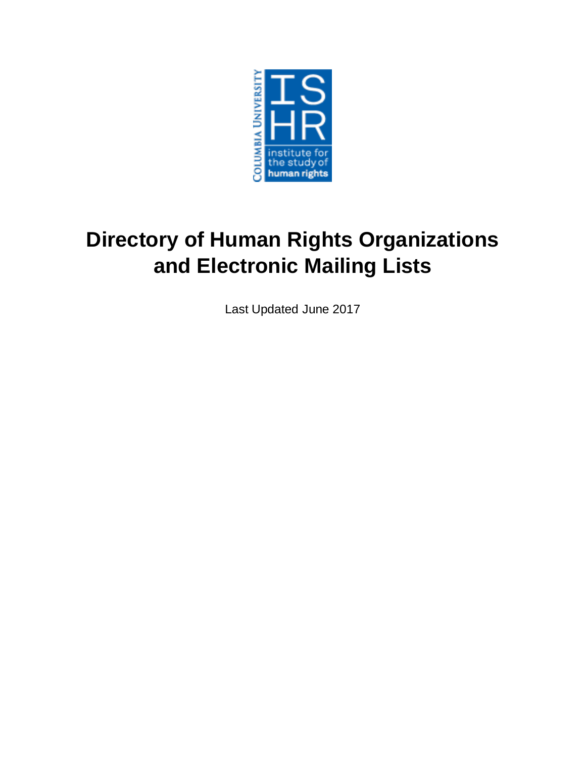

# **Directory of Human Rights Organizations and Electronic Mailing Lists**

Last Updated June 2017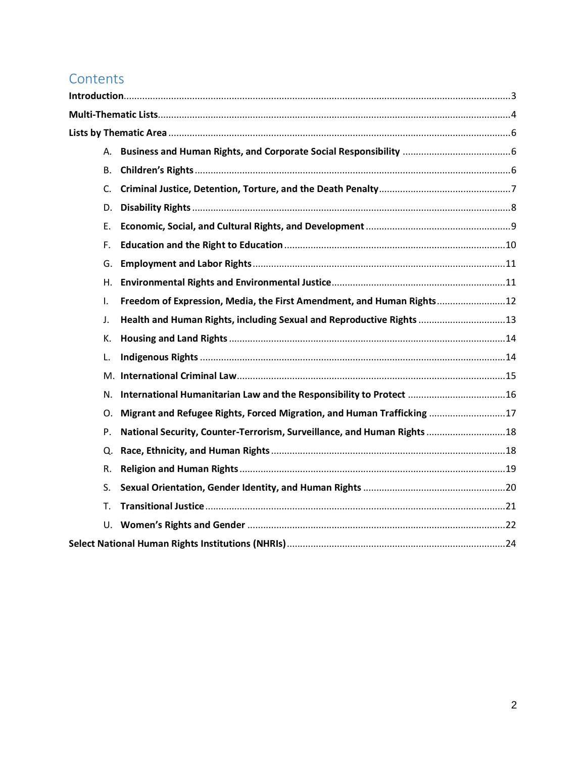# **Contents**

| <b>B.</b> |                                                                          |  |
|-----------|--------------------------------------------------------------------------|--|
| C.        |                                                                          |  |
| D.        |                                                                          |  |
| E.        |                                                                          |  |
| F.        |                                                                          |  |
| G.        |                                                                          |  |
| Η.        |                                                                          |  |
| I.        | Freedom of Expression, Media, the First Amendment, and Human Rights12    |  |
| J.        | Health and Human Rights, including Sexual and Reproductive Rights 13     |  |
| K.        |                                                                          |  |
| L.        |                                                                          |  |
| M.        |                                                                          |  |
| N.        | International Humanitarian Law and the Responsibility to Protect 16      |  |
| Ο.        | Migrant and Refugee Rights, Forced Migration, and Human Trafficking 17   |  |
| P.        | National Security, Counter-Terrorism, Surveillance, and Human Rights  18 |  |
| Q.        |                                                                          |  |
| R.        |                                                                          |  |
| S.        |                                                                          |  |
| Т.        |                                                                          |  |
|           |                                                                          |  |
|           |                                                                          |  |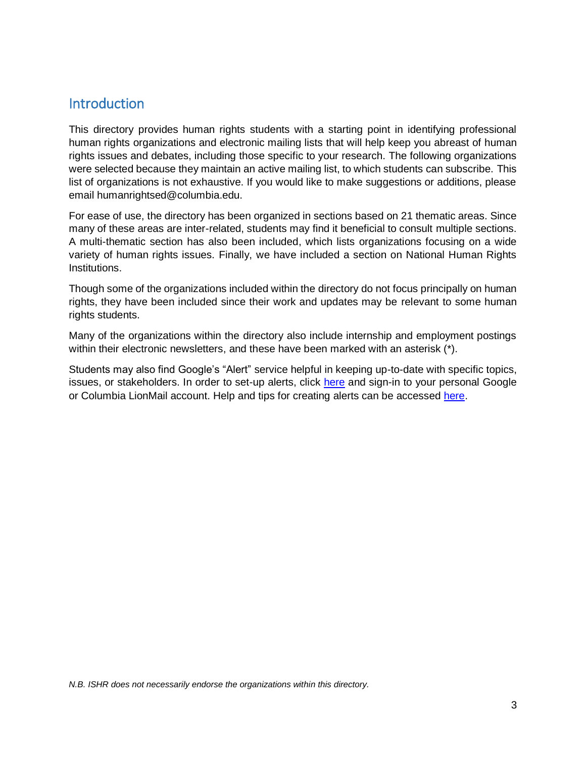# <span id="page-2-0"></span>**Introduction**

This directory provides human rights students with a starting point in identifying professional human rights organizations and electronic mailing lists that will help keep you abreast of human rights issues and debates, including those specific to your research. The following organizations were selected because they maintain an active mailing list, to which students can subscribe. This list of organizations is not exhaustive. If you would like to make suggestions or additions, please email humanrightsed@columbia.edu.

For ease of use, the directory has been organized in sections based on 21 thematic areas. Since many of these areas are inter-related, students may find it beneficial to consult multiple sections. A multi-thematic section has also been included, which lists organizations focusing on a wide variety of human rights issues. Finally, we have included a section on National Human Rights Institutions.

Though some of the organizations included within the directory do not focus principally on human rights, they have been included since their work and updates may be relevant to some human rights students.

Many of the organizations within the directory also include internship and employment postings within their electronic newsletters, and these have been marked with an asterisk (\*).

Students may also find Google's "Alert" service helpful in keeping up-to-date with specific topics, issues, or stakeholders. In order to set-up alerts, click [here](https://www.google.com/alerts) and sign-in to your personal Google or Columbia LionMail account. Help and tips for creating alerts can be accessed [here.](https://support.google.com/alerts/answer/4815782?hl=en&ref_topic=3246333)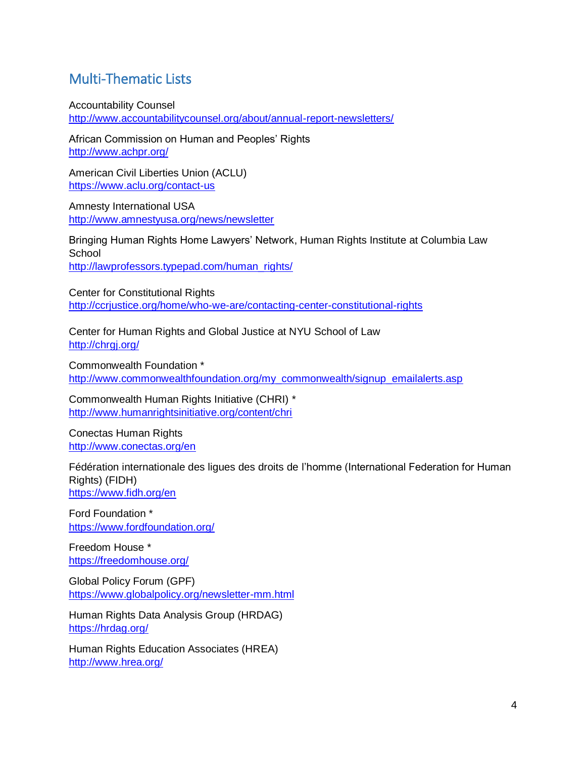# <span id="page-3-0"></span>Multi-Thematic Lists

Accountability Counsel

<http://www.accountabilitycounsel.org/about/annual-report-newsletters/>

African Commission on Human and Peoples' Rights <http://www.achpr.org/>

American Civil Liberties Union (ACLU) <https://www.aclu.org/contact-us>

Amnesty International USA <http://www.amnestyusa.org/news/newsletter>

Bringing Human Rights Home Lawyers' Network, Human Rights Institute at Columbia Law **School** [http://lawprofessors.typepad.com/human\\_rights/](http://lawprofessors.typepad.com/human_rights/)

Center for Constitutional Rights <http://ccrjustice.org/home/who-we-are/contacting-center-constitutional-rights>

Center for Human Rights and Global Justice at NYU School of Law http://chrqi.org/

Commonwealth Foundation \* [http://www.commonwealthfoundation.org/my\\_commonwealth/signup\\_emailalerts.asp](http://www.commonwealthfoundation.org/my_commonwealth/signup_emailalerts.asp)

Commonwealth Human Rights Initiative (CHRI) \* <http://www.humanrightsinitiative.org/content/chri>

Conectas Human Rights <http://www.conectas.org/en>

Fédération internationale des ligues des droits de l'homme (International Federation for Human Rights) (FIDH) <https://www.fidh.org/en>

Ford Foundation \* <https://www.fordfoundation.org/>

Freedom House \* <https://freedomhouse.org/>

Global Policy Forum (GPF) <https://www.globalpolicy.org/newsletter-mm.html>

Human Rights Data Analysis Group (HRDAG) <https://hrdag.org/>

Human Rights Education Associates (HREA) <http://www.hrea.org/>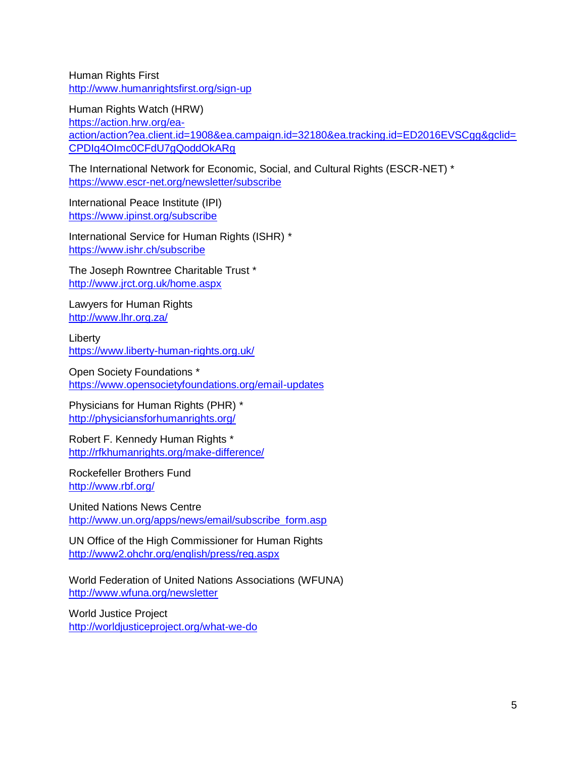Human Rights First <http://www.humanrightsfirst.org/sign-up>

Human Rights Watch (HRW) [https://action.hrw.org/ea](https://action.hrw.org/ea-action/action?ea.client.id=1908&ea.campaign.id=32180&ea.tracking.id=ED2016EVSCgg&gclid=CPDIq4OImc0CFdU7gQoddOkARg)[action/action?ea.client.id=1908&ea.campaign.id=32180&ea.tracking.id=ED2016EVSCgg&gclid=](https://action.hrw.org/ea-action/action?ea.client.id=1908&ea.campaign.id=32180&ea.tracking.id=ED2016EVSCgg&gclid=CPDIq4OImc0CFdU7gQoddOkARg) [CPDIq4OImc0CFdU7gQoddOkARg](https://action.hrw.org/ea-action/action?ea.client.id=1908&ea.campaign.id=32180&ea.tracking.id=ED2016EVSCgg&gclid=CPDIq4OImc0CFdU7gQoddOkARg)

The International Network for Economic, Social, and Cultural Rights (ESCR-NET) \* <https://www.escr-net.org/newsletter/subscribe>

International Peace Institute (IPI) <https://www.ipinst.org/subscribe>

International Service for Human Rights (ISHR) \* <https://www.ishr.ch/subscribe>

The Joseph Rowntree Charitable Trust \* <http://www.jrct.org.uk/home.aspx>

Lawyers for Human Rights <http://www.lhr.org.za/>

Liberty <https://www.liberty-human-rights.org.uk/>

Open Society Foundations \* <https://www.opensocietyfoundations.org/email-updates>

Physicians for Human Rights (PHR) \* <http://physiciansforhumanrights.org/>

Robert F. Kennedy Human Rights \* <http://rfkhumanrights.org/make-difference/>

Rockefeller Brothers Fund <http://www.rbf.org/>

United Nations News Centre [http://www.un.org/apps/news/email/subscribe\\_form.asp](http://www.un.org/apps/news/email/subscribe_form.asp)

UN Office of the High Commissioner for Human Rights <http://www2.ohchr.org/english/press/reg.aspx>

World Federation of United Nations Associations (WFUNA) <http://www.wfuna.org/newsletter>

World Justice Project <http://worldjusticeproject.org/what-we-do>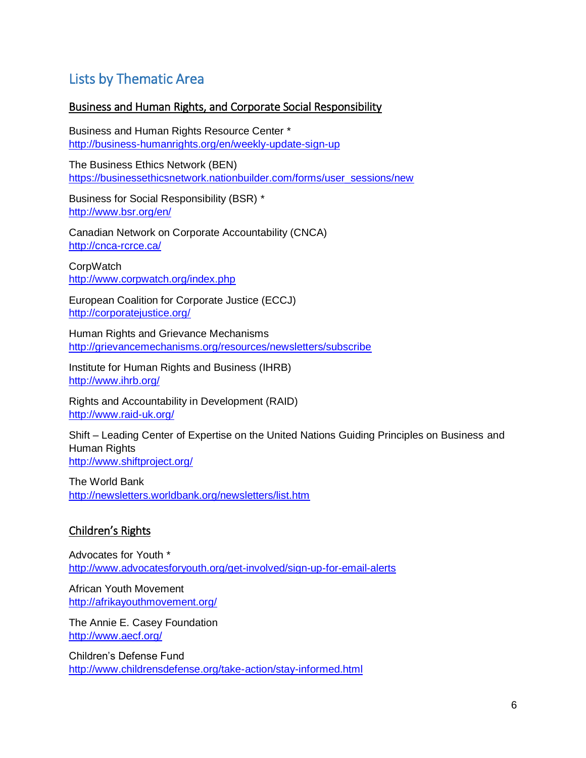# <span id="page-5-0"></span>Lists by Thematic Area

#### <span id="page-5-1"></span>Business and Human Rights, and Corporate Social Responsibility

Business and Human Rights Resource Center \* <http://business-humanrights.org/en/weekly-update-sign-up>

The Business Ethics Network (BEN) [https://businessethicsnetwork.nationbuilder.com/forms/user\\_sessions/new](https://businessethicsnetwork.nationbuilder.com/forms/user_sessions/new)

Business for Social Responsibility (BSR) \* <http://www.bsr.org/en/>

Canadian Network on Corporate Accountability (CNCA) <http://cnca-rcrce.ca/>

**CorpWatch** <http://www.corpwatch.org/index.php>

European Coalition for Corporate Justice (ECCJ) <http://corporatejustice.org/>

Human Rights and Grievance Mechanisms <http://grievancemechanisms.org/resources/newsletters/subscribe>

Institute for Human Rights and Business (IHRB) <http://www.ihrb.org/>

Rights and Accountability in Development (RAID) <http://www.raid-uk.org/>

Shift – Leading Center of Expertise on the United Nations Guiding Principles on Business and Human Rights <http://www.shiftproject.org/>

The World Bank <http://newsletters.worldbank.org/newsletters/list.htm>

## <span id="page-5-2"></span>Children's Rights

Advocates for Youth \* <http://www.advocatesforyouth.org/get-involved/sign-up-for-email-alerts>

African Youth Movement <http://afrikayouthmovement.org/>

The Annie E. Casey Foundation <http://www.aecf.org/>

Children's Defense Fund <http://www.childrensdefense.org/take-action/stay-informed.html>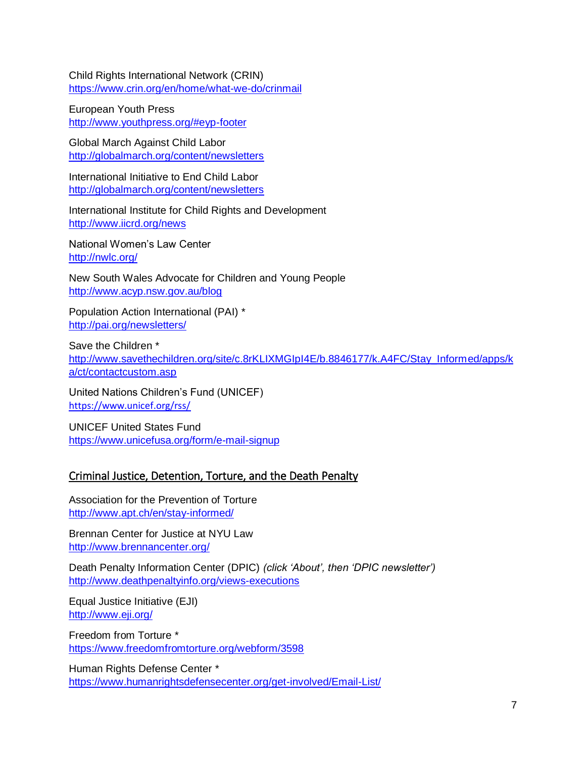Child Rights International Network (CRIN) <https://www.crin.org/en/home/what-we-do/crinmail>

European Youth Press <http://www.youthpress.org/#eyp-footer>

Global March Against Child Labor [http://globalmarch.org/content/newsletters](http://www.globalmarch.org/) 

International Initiative to End Child Labor [http://globalmarch.org/content/newsletters](http://endchildlabor.net/) 

International Institute for Child Rights and Development <http://www.iicrd.org/news>

National Women's Law Center <http://nwlc.org/>

New South Wales Advocate for Children and Young People <http://www.acyp.nsw.gov.au/blog>

Population Action International (PAI) \* <http://pai.org/newsletters/>

Save the Children \* [http://www.savethechildren.org/site/c.8rKLIXMGIpI4E/b.8846177/k.A4FC/Stay\\_Informed/apps/k](http://www.savethechildren.org/site/c.8rKLIXMGIpI4E/b.8846177/k.A4FC/Stay_Informed/apps/ka/ct/contactcustom.asp) [a/ct/contactcustom.asp](http://www.savethechildren.org/site/c.8rKLIXMGIpI4E/b.8846177/k.A4FC/Stay_Informed/apps/ka/ct/contactcustom.asp)

United Nations Children's Fund (UNICEF) <https://www.unicef.org/rss/>

UNICEF United States Fund <https://www.unicefusa.org/form/e-mail-signup>

## <span id="page-6-0"></span>Criminal Justice, Detention, Torture, and the Death Penalty

Association for the Prevention of Torture <http://www.apt.ch/en/stay-informed/>

Brennan Center for Justice at NYU Law <http://www.brennancenter.org/>

Death Penalty Information Center (DPIC) *(click 'About', then 'DPIC newsletter')* <http://www.deathpenaltyinfo.org/views-executions>

Equal Justice Initiative (EJI) <http://www.eji.org/>

Freedom from Torture \* <https://www.freedomfromtorture.org/webform/3598>

Human Rights Defense Center \* <https://www.humanrightsdefensecenter.org/get-involved/Email-List/>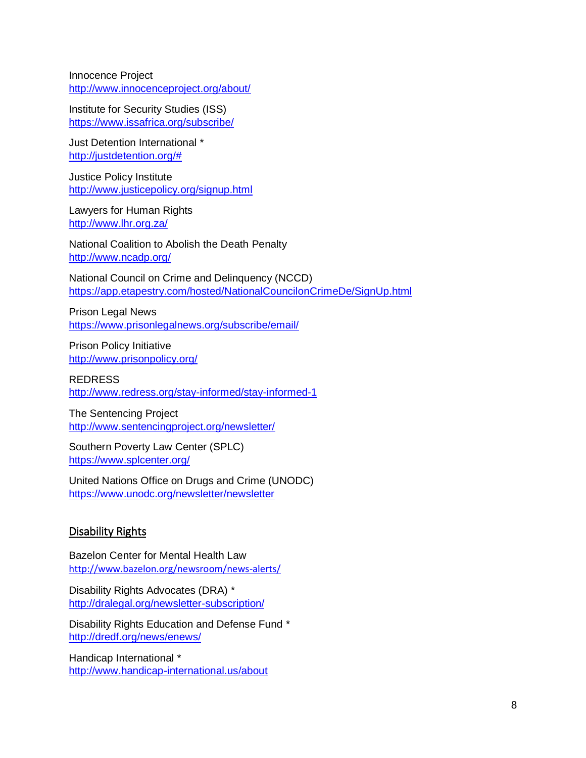Innocence Project <http://www.innocenceproject.org/about/>

Institute for Security Studies (ISS) <https://www.issafrica.org/subscribe/>

Just Detention International \* [http://justdetention.org/#](http://justdetention.org/)

Justice Policy Institute <http://www.justicepolicy.org/signup.html>

Lawyers for Human Rights <http://www.lhr.org.za/>

National Coalition to Abolish the Death Penalty <http://www.ncadp.org/>

National Council on Crime and Delinquency (NCCD) <https://app.etapestry.com/hosted/NationalCouncilonCrimeDe/SignUp.html>

Prison Legal News <https://www.prisonlegalnews.org/subscribe/email/>

Prison Policy Initiative <http://www.prisonpolicy.org/>

REDRESS <http://www.redress.org/stay-informed/stay-informed-1>

The Sentencing Project <http://www.sentencingproject.org/newsletter/>

Southern Poverty Law Center (SPLC) <https://www.splcenter.org/>

United Nations Office on Drugs and Crime (UNODC) <https://www.unodc.org/newsletter/newsletter>

#### <span id="page-7-0"></span>Disability Rights

Bazelon Center for Mental Health Law <http://www.bazelon.org/newsroom/news-alerts/>

Disability Rights Advocates (DRA) \* <http://dralegal.org/newsletter-subscription/>

Disability Rights Education and Defense Fund \* <http://dredf.org/news/enews/>

Handicap International \* <http://www.handicap-international.us/about>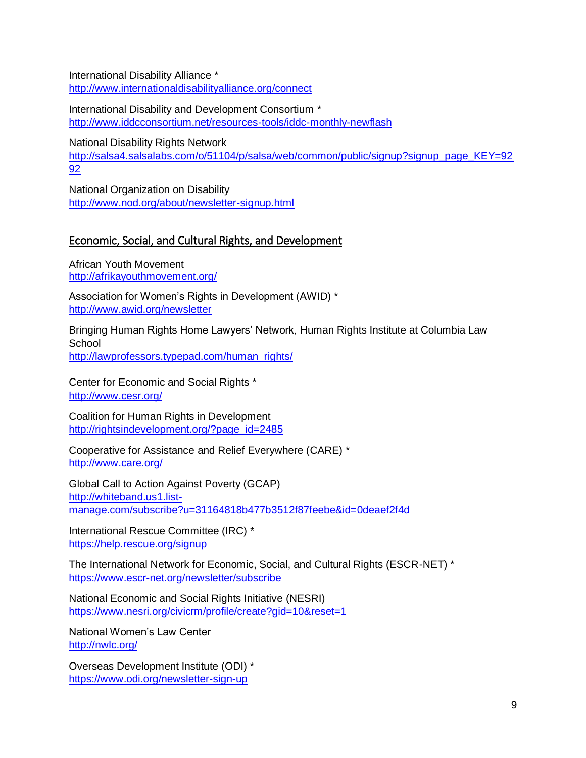International Disability Alliance \* http://www.internationaldisabilityalliance.org/connect

International Disability and Development Consortium \* <http://www.iddcconsortium.net/resources-tools/iddc-monthly-newflash>

National Disability Rights Network [http://salsa4.salsalabs.com/o/51104/p/salsa/web/common/public/signup?signup\\_page\\_KEY=92](http://salsa4.salsalabs.com/o/51104/p/salsa/web/common/public/signup?signup_page_KEY=9292) [92](http://salsa4.salsalabs.com/o/51104/p/salsa/web/common/public/signup?signup_page_KEY=9292)

National Organization on Disability <http://www.nod.org/about/newsletter-signup.html>

## <span id="page-8-0"></span>Economic, Social, and Cultural Rights, and Development

African Youth Movement <http://afrikayouthmovement.org/>

Association for Women's Rights in Development (AWID) \* <http://www.awid.org/newsletter>

Bringing Human Rights Home Lawyers' Network, Human Rights Institute at Columbia Law **School** 

[http://lawprofessors.typepad.com/human\\_rights/](http://lawprofessors.typepad.com/human_rights/)

Center for Economic and Social Rights \* <http://www.cesr.org/>

Coalition for Human Rights in Development http://rightsindevelopment.org/?page\_id=2485

Cooperative for Assistance and Relief Everywhere (CARE) \* <http://www.care.org/>

Global Call to Action Against Poverty (GCAP) [http://whiteband.us1.list](http://whiteband.us1.list-manage.com/subscribe?u=31164818b477b3512f87feebe&id=0deaef2f4d%20)[manage.com/subscribe?u=31164818b477b3512f87feebe&id=0deaef2f4d](http://whiteband.us1.list-manage.com/subscribe?u=31164818b477b3512f87feebe&id=0deaef2f4d%20) 

International Rescue Committee (IRC) \* <https://help.rescue.org/signup>

The International Network for Economic, Social, and Cultural Rights (ESCR-NET) \* <https://www.escr-net.org/newsletter/subscribe>

National Economic and Social Rights Initiative (NESRI) [https://www.nesri.org/civicrm/profile/create?gid=10&reset=1](https://www.nesri.org/civicrm/profile/create?gid=10&reset=1%20) 

National Women's Law Center <http://nwlc.org/>

Overseas Development Institute (ODI) \* <https://www.odi.org/newsletter-sign-up>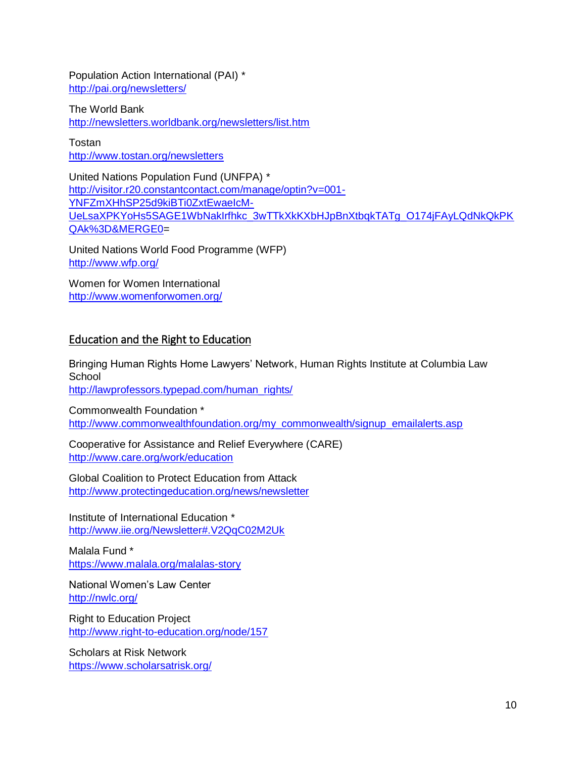Population Action International (PAI) \* <http://pai.org/newsletters/>

The World Bank <http://newsletters.worldbank.org/newsletters/list.htm>

Tostan <http://www.tostan.org/newsletters>

United Nations Population Fund (UNFPA) \* [http://visitor.r20.constantcontact.com/manage/optin?v=001-](http://visitor.r20.constantcontact.com/manage/optin?v=001-YNFZmXHhSP25d9kiBTi0ZxtEwaeIcM-UeLsaXPKYoHs5SAGE1WbNakIrfhkc_3wTTkXkKXbHJpBnXtbqkTATg_O174jFAyLQdNkQkPKQAk%3D&MERGE0) [YNFZmXHhSP25d9kiBTi0ZxtEwaeIcM-](http://visitor.r20.constantcontact.com/manage/optin?v=001-YNFZmXHhSP25d9kiBTi0ZxtEwaeIcM-UeLsaXPKYoHs5SAGE1WbNakIrfhkc_3wTTkXkKXbHJpBnXtbqkTATg_O174jFAyLQdNkQkPKQAk%3D&MERGE0)[UeLsaXPKYoHs5SAGE1WbNakIrfhkc\\_3wTTkXkKXbHJpBnXtbqkTATg\\_O174jFAyLQdNkQkPK](http://visitor.r20.constantcontact.com/manage/optin?v=001-YNFZmXHhSP25d9kiBTi0ZxtEwaeIcM-UeLsaXPKYoHs5SAGE1WbNakIrfhkc_3wTTkXkKXbHJpBnXtbqkTATg_O174jFAyLQdNkQkPKQAk%3D&MERGE0) [QAk%3D&MERGE0=](http://visitor.r20.constantcontact.com/manage/optin?v=001-YNFZmXHhSP25d9kiBTi0ZxtEwaeIcM-UeLsaXPKYoHs5SAGE1WbNakIrfhkc_3wTTkXkKXbHJpBnXtbqkTATg_O174jFAyLQdNkQkPKQAk%3D&MERGE0)

United Nations World Food Programme (WFP) <http://www.wfp.org/>

Women for Women International <http://www.womenforwomen.org/>

#### <span id="page-9-0"></span>Education and the Right to Education

Bringing Human Rights Home Lawyers' Network, Human Rights Institute at Columbia Law **School** [http://lawprofessors.typepad.com/human\\_rights/](http://lawprofessors.typepad.com/human_rights/)

Commonwealth Foundation \* [http://www.commonwealthfoundation.org/my\\_commonwealth/signup\\_emailalerts.asp](http://www.commonwealthfoundation.org/my_commonwealth/signup_emailalerts.asp)

Cooperative for Assistance and Relief Everywhere (CARE) <http://www.care.org/work/education>

Global Coalition to Protect Education from Attack <http://www.protectingeducation.org/news/newsletter>

Institute of International Education \* <http://www.iie.org/Newsletter#.V2QqC02M2Uk>

Malala Fund \* <https://www.malala.org/malalas-story>

National Women's Law Center <http://nwlc.org/>

Right to Education Project <http://www.right-to-education.org/node/157>

Scholars at Risk Network <https://www.scholarsatrisk.org/>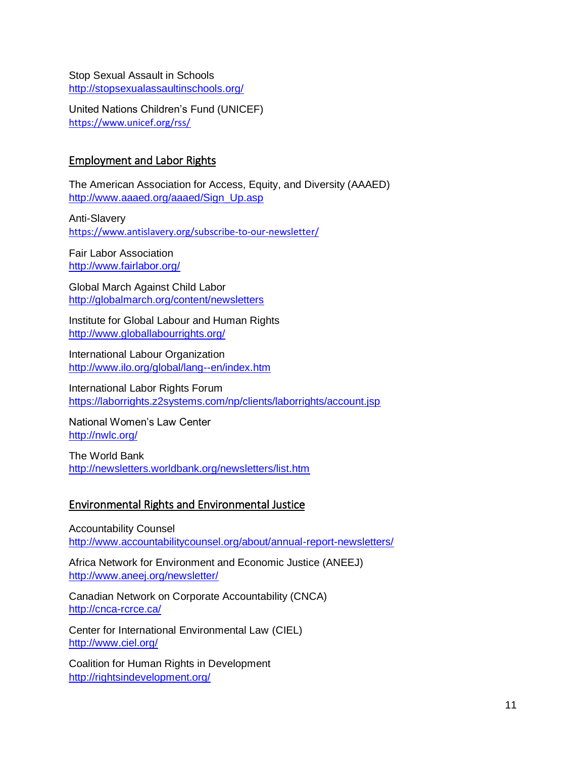Stop Sexual Assault in Schools <http://stopsexualassaultinschools.org/>

United Nations Children's Fund (UNICEF) <https://www.unicef.org/rss/>

#### <span id="page-10-0"></span>Employment and Labor Rights

The American Association for Access, Equity, and Diversity (AAAED) [http://www.aaaed.org/aaaed/Sign\\_Up.asp](http://www.aaaed.org/aaaed/default.asp) 

Anti-Slavery <https://www.antislavery.org/subscribe-to-our-newsletter/>

Fair Labor Association <http://www.fairlabor.org/>

Global March Against Child Labor [http://globalmarch.org/content/newsletters](http://www.globalmarch.org/) 

Institute for Global Labour and Human Rights <http://www.globallabourrights.org/>

International Labour Organization <http://www.ilo.org/global/lang--en/index.htm>

International Labor Rights Forum <https://laborrights.z2systems.com/np/clients/laborrights/account.jsp>

National Women's Law Center <http://nwlc.org/>

The World Bank <http://newsletters.worldbank.org/newsletters/list.htm>

#### <span id="page-10-1"></span>Environmental Rights and Environmental Justice

Accountability Counsel <http://www.accountabilitycounsel.org/about/annual-report-newsletters/>

Africa Network for Environment and Economic Justice (ANEEJ) <http://www.aneej.org/newsletter/>

Canadian Network on Corporate Accountability (CNCA) <http://cnca-rcrce.ca/>

Center for International Environmental Law (CIEL) <http://www.ciel.org/>

Coalition for Human Rights in Development <http://rightsindevelopment.org/>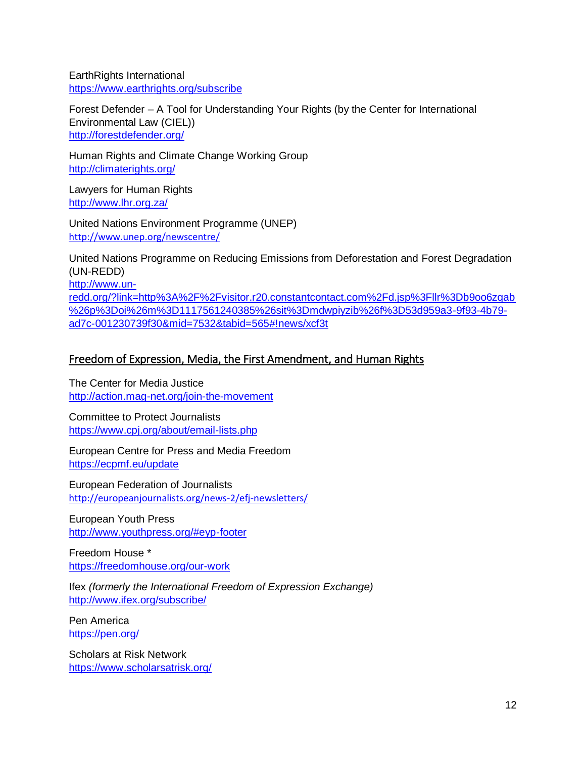EarthRights International <https://www.earthrights.org/subscribe>

Forest Defender – A Tool for Understanding Your Rights (by the Center for International Environmental Law (CIEL)) <http://forestdefender.org/>

Human Rights and Climate Change Working Group <http://climaterights.org/>

Lawyers for Human Rights <http://www.lhr.org.za/>

United Nations Environment Programme (UNEP) <http://www.unep.org/newscentre/>

United Nations Programme on Reducing Emissions from Deforestation and Forest Degradation (UN-REDD) [http://www.un](http://www.un-redd.org/?link=http%3A%2F%2Fvisitor.r20.constantcontact.com%2Fd.jsp%3Fllr%3Db9oo6zqab%26p%3Doi%26m%3D1117561240385%26sit%3Dmdwpiyzib%26f%3D53d959a3-9f93-4b79-ad7c-001230739f30&mid=7532&tabid=565#!news/xcf3t)[redd.org/?link=http%3A%2F%2Fvisitor.r20.constantcontact.com%2Fd.jsp%3Fllr%3Db9oo6zqab](http://www.un-redd.org/?link=http%3A%2F%2Fvisitor.r20.constantcontact.com%2Fd.jsp%3Fllr%3Db9oo6zqab%26p%3Doi%26m%3D1117561240385%26sit%3Dmdwpiyzib%26f%3D53d959a3-9f93-4b79-ad7c-001230739f30&mid=7532&tabid=565#!news/xcf3t) [%26p%3Doi%26m%3D1117561240385%26sit%3Dmdwpiyzib%26f%3D53d959a3-9f93-4b79](http://www.un-redd.org/?link=http%3A%2F%2Fvisitor.r20.constantcontact.com%2Fd.jsp%3Fllr%3Db9oo6zqab%26p%3Doi%26m%3D1117561240385%26sit%3Dmdwpiyzib%26f%3D53d959a3-9f93-4b79-ad7c-001230739f30&mid=7532&tabid=565#!news/xcf3t) [ad7c-001230739f30&mid=7532&tabid=565#!news/xcf3t](http://www.un-redd.org/?link=http%3A%2F%2Fvisitor.r20.constantcontact.com%2Fd.jsp%3Fllr%3Db9oo6zqab%26p%3Doi%26m%3D1117561240385%26sit%3Dmdwpiyzib%26f%3D53d959a3-9f93-4b79-ad7c-001230739f30&mid=7532&tabid=565#!news/xcf3t)

## <span id="page-11-0"></span>Freedom of Expression, Media, the First Amendment, and Human Rights

The Center for Media Justice <http://action.mag-net.org/join-the-movement>

Committee to Protect Journalists <https://www.cpj.org/about/email-lists.php>

European Centre for Press and Media Freedom <https://ecpmf.eu/update>

European Federation of Journalists <http://europeanjournalists.org/news-2/efj-newsletters/>

European Youth Press <http://www.youthpress.org/#eyp-footer>

Freedom House \* <https://freedomhouse.org/our-work>

Ifex *(formerly the International Freedom of Expression Exchange)* <http://www.ifex.org/subscribe/>

Pen America <https://pen.org/>

Scholars at Risk Network <https://www.scholarsatrisk.org/>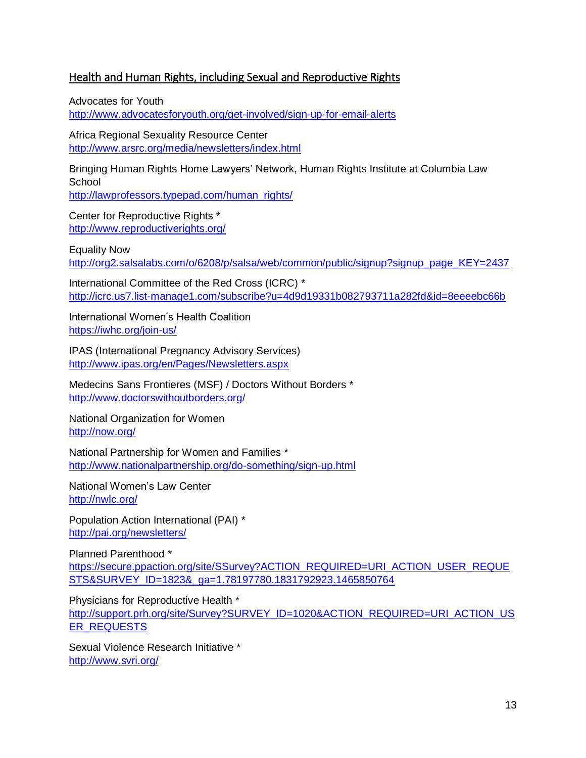#### <span id="page-12-0"></span>Health and Human Rights, including Sexual and Reproductive Rights

Advocates for Youth <http://www.advocatesforyouth.org/get-involved/sign-up-for-email-alerts>

Africa Regional Sexuality Resource Center <http://www.arsrc.org/media/newsletters/index.html>

Bringing Human Rights Home Lawyers' Network, Human Rights Institute at Columbia Law School [http://lawprofessors.typepad.com/human\\_rights/](http://lawprofessors.typepad.com/human_rights/)

Center for Reproductive Rights \* <http://www.reproductiverights.org/>

Equality Now [http://org2.salsalabs.com/o/6208/p/salsa/web/common/public/signup?signup\\_page\\_KEY=2437](http://org2.salsalabs.com/o/6208/p/salsa/web/common/public/signup?signup_page_KEY=2437)

International Committee of the Red Cross (ICRC) \* <http://icrc.us7.list-manage1.com/subscribe?u=4d9d19331b082793711a282fd&id=8eeeebc66b>

International Women's Health Coalition <https://iwhc.org/join-us/>

IPAS (International Pregnancy Advisory Services) <http://www.ipas.org/en/Pages/Newsletters.aspx>

Medecins Sans Frontieres (MSF) / Doctors Without Borders \* <http://www.doctorswithoutborders.org/>

National Organization for Women <http://now.org/>

National Partnership for Women and Families \* <http://www.nationalpartnership.org/do-something/sign-up.html>

National Women's Law Center <http://nwlc.org/>

Population Action International (PAI) \* <http://pai.org/newsletters/>

Planned Parenthood \* [https://secure.ppaction.org/site/SSurvey?ACTION\\_REQUIRED=URI\\_ACTION\\_USER\\_REQUE](https://secure.ppaction.org/site/SSurvey?ACTION_REQUIRED=URI_ACTION_USER_REQUESTS&SURVEY_ID=1823&_ga=1.78197780.1831792923.1465850764) [STS&SURVEY\\_ID=1823&\\_ga=1.78197780.1831792923.1465850764](https://secure.ppaction.org/site/SSurvey?ACTION_REQUIRED=URI_ACTION_USER_REQUESTS&SURVEY_ID=1823&_ga=1.78197780.1831792923.1465850764)

Physicians for Reproductive Health \* [http://support.prh.org/site/Survey?SURVEY\\_ID=1020&ACTION\\_REQUIRED=URI\\_ACTION\\_US](http://support.prh.org/site/Survey?SURVEY_ID=1020&ACTION_REQUIRED=URI_ACTION_USER_REQUESTS) [ER\\_REQUESTS](http://support.prh.org/site/Survey?SURVEY_ID=1020&ACTION_REQUIRED=URI_ACTION_USER_REQUESTS)

Sexual Violence Research Initiative \* <http://www.svri.org/>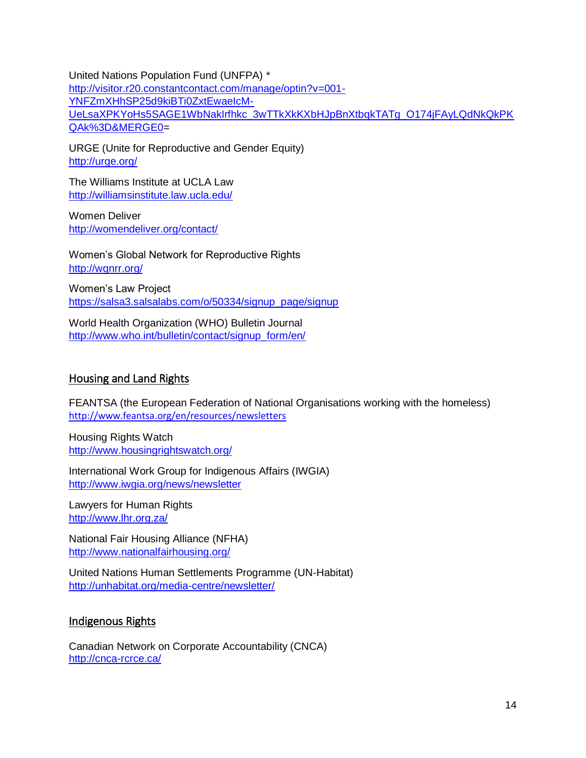United Nations Population Fund (UNFPA) \* [http://visitor.r20.constantcontact.com/manage/optin?v=001-](http://visitor.r20.constantcontact.com/manage/optin?v=001-YNFZmXHhSP25d9kiBTi0ZxtEwaeIcM-UeLsaXPKYoHs5SAGE1WbNakIrfhkc_3wTTkXkKXbHJpBnXtbqkTATg_O174jFAyLQdNkQkPKQAk%3D&MERGE0) [YNFZmXHhSP25d9kiBTi0ZxtEwaeIcM-](http://visitor.r20.constantcontact.com/manage/optin?v=001-YNFZmXHhSP25d9kiBTi0ZxtEwaeIcM-UeLsaXPKYoHs5SAGE1WbNakIrfhkc_3wTTkXkKXbHJpBnXtbqkTATg_O174jFAyLQdNkQkPKQAk%3D&MERGE0)[UeLsaXPKYoHs5SAGE1WbNakIrfhkc\\_3wTTkXkKXbHJpBnXtbqkTATg\\_O174jFAyLQdNkQkPK](http://visitor.r20.constantcontact.com/manage/optin?v=001-YNFZmXHhSP25d9kiBTi0ZxtEwaeIcM-UeLsaXPKYoHs5SAGE1WbNakIrfhkc_3wTTkXkKXbHJpBnXtbqkTATg_O174jFAyLQdNkQkPKQAk%3D&MERGE0) [QAk%3D&MERGE0=](http://visitor.r20.constantcontact.com/manage/optin?v=001-YNFZmXHhSP25d9kiBTi0ZxtEwaeIcM-UeLsaXPKYoHs5SAGE1WbNakIrfhkc_3wTTkXkKXbHJpBnXtbqkTATg_O174jFAyLQdNkQkPKQAk%3D&MERGE0)

URGE (Unite for Reproductive and Gender Equity) <http://urge.org/>

The Williams Institute at UCLA Law <http://williamsinstitute.law.ucla.edu/>

Women Deliver <http://womendeliver.org/contact/>

Women's Global Network for Reproductive Rights <http://wgnrr.org/>

Women's Law Project [https://salsa3.salsalabs.com/o/50334/signup\\_page/signup](https://salsa3.salsalabs.com/o/50334/signup_page/signup)

<span id="page-13-0"></span>World Health Organization (WHO) Bulletin Journal [http://www.who.int/bulletin/contact/signup\\_form/en/](http://www.who.int/bulletin/contact/signup_form/en/)

#### Housing and Land Rights

FEANTSA (the European Federation of National Organisations working with the homeless) <http://www.feantsa.org/en/resources/newsletters>

Housing Rights Watch <http://www.housingrightswatch.org/>

International Work Group for Indigenous Affairs (IWGIA) <http://www.iwgia.org/news/newsletter>

Lawyers for Human Rights <http://www.lhr.org.za/>

National Fair Housing Alliance (NFHA) <http://www.nationalfairhousing.org/>

United Nations Human Settlements Programme (UN-Habitat) <http://unhabitat.org/media-centre/newsletter/>

#### <span id="page-13-1"></span>Indigenous Rights

Canadian Network on Corporate Accountability (CNCA) <http://cnca-rcrce.ca/>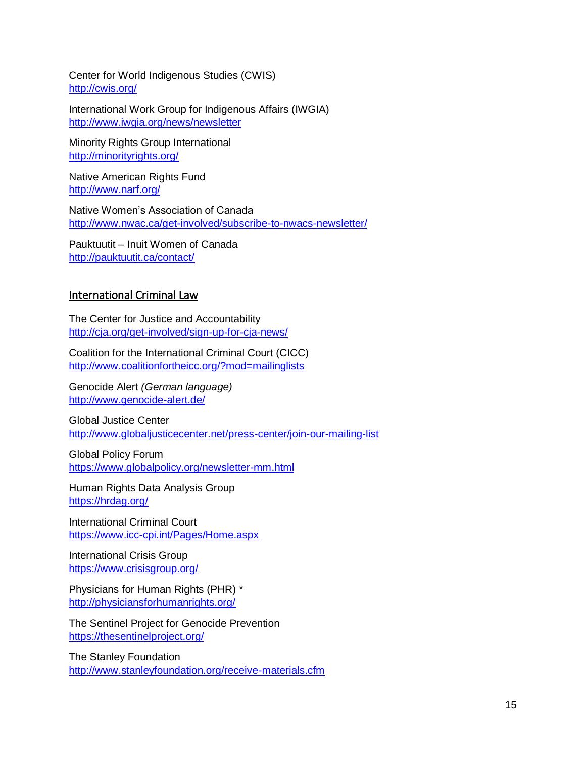Center for World Indigenous Studies (CWIS) <http://cwis.org/>

International Work Group for Indigenous Affairs (IWGIA) <http://www.iwgia.org/news/newsletter>

Minority Rights Group International <http://minorityrights.org/>

Native American Rights Fund <http://www.narf.org/>

Native Women's Association of Canada <http://www.nwac.ca/get-involved/subscribe-to-nwacs-newsletter/>

Pauktuutit – Inuit Women of Canada <http://pauktuutit.ca/contact/>

#### <span id="page-14-0"></span>International Criminal Law

The Center for Justice and Accountability <http://cja.org/get-involved/sign-up-for-cja-news/>

Coalition for the International Criminal Court (CICC) <http://www.coalitionfortheicc.org/?mod=mailinglists>

Genocide Alert *(German language)* <http://www.genocide-alert.de/>

Global Justice Center <http://www.globaljusticecenter.net/press-center/join-our-mailing-list>

Global Policy Forum <https://www.globalpolicy.org/newsletter-mm.html>

Human Rights Data Analysis Group <https://hrdag.org/>

International Criminal Court <https://www.icc-cpi.int/Pages/Home.aspx>

International Crisis Group <https://www.crisisgroup.org/>

Physicians for Human Rights (PHR) \* <http://physiciansforhumanrights.org/>

The Sentinel Project for Genocide Prevention <https://thesentinelproject.org/>

The Stanley Foundation <http://www.stanleyfoundation.org/receive-materials.cfm>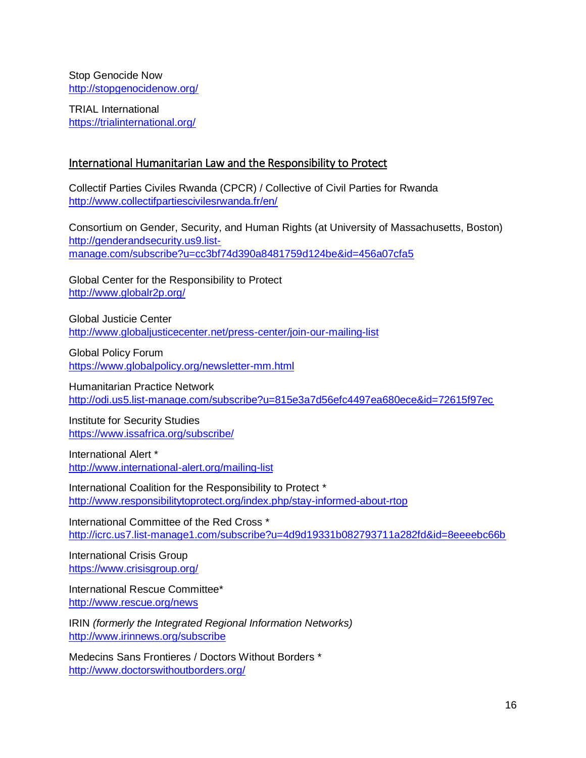Stop Genocide Now <http://stopgenocidenow.org/>

TRIAL International <https://trialinternational.org/>

#### <span id="page-15-0"></span>International Humanitarian Law and the Responsibility to Protect

Collectif Parties Civiles Rwanda (CPCR) / Collective of Civil Parties for Rwanda <http://www.collectifpartiescivilesrwanda.fr/en/>

Consortium on Gender, Security, and Human Rights (at University of Massachusetts, Boston) [http://genderandsecurity.us9.list](http://genderandsecurity.us9.list-manage.com/subscribe?u=cc3bf74d390a8481759d124be&id=456a07cfa5)[manage.com/subscribe?u=cc3bf74d390a8481759d124be&id=456a07cfa5](http://genderandsecurity.us9.list-manage.com/subscribe?u=cc3bf74d390a8481759d124be&id=456a07cfa5)

Global Center for the Responsibility to Protect <http://www.globalr2p.org/>

Global Justicie Center <http://www.globaljusticecenter.net/press-center/join-our-mailing-list>

Global Policy Forum <https://www.globalpolicy.org/newsletter-mm.html>

Humanitarian Practice Network <http://odi.us5.list-manage.com/subscribe?u=815e3a7d56efc4497ea680ece&id=72615f97ec>

Institute for Security Studies <https://www.issafrica.org/subscribe/>

International Alert \* <http://www.international-alert.org/mailing-list>

International Coalition for the Responsibility to Protect \* <http://www.responsibilitytoprotect.org/index.php/stay-informed-about-rtop>

International Committee of the Red Cross \* <http://icrc.us7.list-manage1.com/subscribe?u=4d9d19331b082793711a282fd&id=8eeeebc66b>

International Crisis Group <https://www.crisisgroup.org/>

International Rescue Committee\* <http://www.rescue.org/news>

IRIN *(formerly the Integrated Regional Information Networks)* <http://www.irinnews.org/subscribe>

Medecins Sans Frontieres / Doctors Without Borders \* <http://www.doctorswithoutborders.org/>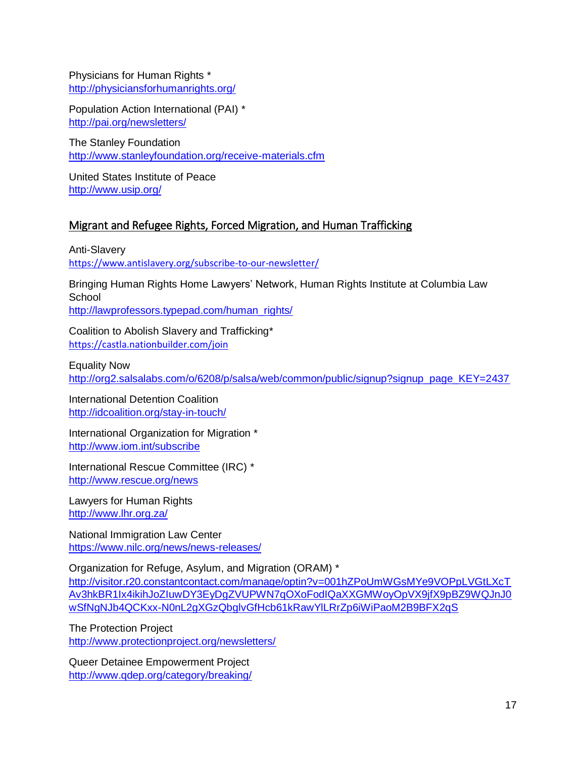Physicians for Human Rights \* <http://physiciansforhumanrights.org/>

Population Action International (PAI) \* <http://pai.org/newsletters/>

The Stanley Foundation <http://www.stanleyfoundation.org/receive-materials.cfm>

United States Institute of Peace <http://www.usip.org/>

#### <span id="page-16-0"></span>Migrant and Refugee Rights, Forced Migration, and Human Trafficking

Anti-Slavery <https://www.antislavery.org/subscribe-to-our-newsletter/>

Bringing Human Rights Home Lawyers' Network, Human Rights Institute at Columbia Law **School** 

[http://lawprofessors.typepad.com/human\\_rights/](http://lawprofessors.typepad.com/human_rights/)

Coalition to Abolish Slavery and Trafficking\* <https://castla.nationbuilder.com/join>

Equality Now [http://org2.salsalabs.com/o/6208/p/salsa/web/common/public/signup?signup\\_page\\_KEY=2437](http://org2.salsalabs.com/o/6208/p/salsa/web/common/public/signup?signup_page_KEY=2437)

International Detention Coalition <http://idcoalition.org/stay-in-touch/>

International Organization for Migration \* <http://www.iom.int/subscribe>

International Rescue Committee (IRC) \* <http://www.rescue.org/news>

Lawyers for Human Rights <http://www.lhr.org.za/>

National Immigration Law Center [https://www.nilc.org/news/news-releases/](https://www.nilc.org/) 

Organization for Refuge, Asylum, and Migration (ORAM) \*

[http://visitor.r20.constantcontact.com/manage/optin?v=001hZPoUmWGsMYe9VOPpLVGtLXcT](http://visitor.r20.constantcontact.com/manage/optin?v=001hZPoUmWGsMYe9VOPpLVGtLXcTAv3hkBR1Ix4ikihJoZIuwDY3EyDgZVUPWN7qOXoFodIQaXXGMWoyOpVX9jfX9pBZ9WQJnJ0wSfNgNJb4QCKxx-N0nL2gXGzQbglvGfHcb61kRawYlLRrZp6iWiPaoM2B9BFX2qS) [Av3hkBR1Ix4ikihJoZIuwDY3EyDgZVUPWN7qOXoFodIQaXXGMWoyOpVX9jfX9pBZ9WQJnJ0](http://visitor.r20.constantcontact.com/manage/optin?v=001hZPoUmWGsMYe9VOPpLVGtLXcTAv3hkBR1Ix4ikihJoZIuwDY3EyDgZVUPWN7qOXoFodIQaXXGMWoyOpVX9jfX9pBZ9WQJnJ0wSfNgNJb4QCKxx-N0nL2gXGzQbglvGfHcb61kRawYlLRrZp6iWiPaoM2B9BFX2qS) [wSfNgNJb4QCKxx-N0nL2gXGzQbglvGfHcb61kRawYlLRrZp6iWiPaoM2B9BFX2qS](http://visitor.r20.constantcontact.com/manage/optin?v=001hZPoUmWGsMYe9VOPpLVGtLXcTAv3hkBR1Ix4ikihJoZIuwDY3EyDgZVUPWN7qOXoFodIQaXXGMWoyOpVX9jfX9pBZ9WQJnJ0wSfNgNJb4QCKxx-N0nL2gXGzQbglvGfHcb61kRawYlLRrZp6iWiPaoM2B9BFX2qS)

The Protection Project <http://www.protectionproject.org/newsletters/>

Queer Detainee Empowerment Project [http://www.qdep.org/category/breaking/](http://www.qdep.org/)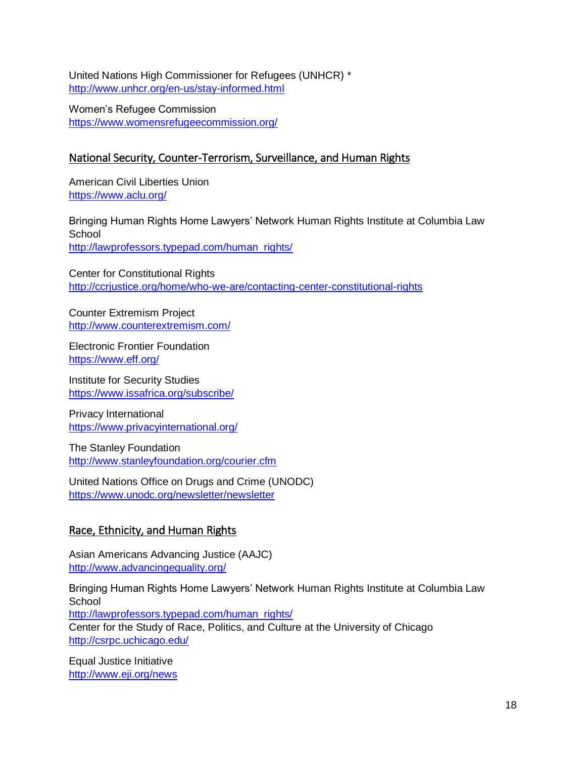United Nations High Commissioner for Refugees (UNHCR) \* <http://www.unhcr.org/en-us/stay-informed.html>

Women's Refugee Commission <https://www.womensrefugeecommission.org/>

## <span id="page-17-0"></span>National Security, Counter-Terrorism, Surveillance, and Human Rights

American Civil Liberties Union <https://www.aclu.org/>

Bringing Human Rights Home Lawyers' Network Human Rights Institute at Columbia Law **School** [http://lawprofessors.typepad.com/human\\_rights/](http://lawprofessors.typepad.com/human_rights/)

Center for Constitutional Rights <http://ccrjustice.org/home/who-we-are/contacting-center-constitutional-rights>

Counter Extremism Project <http://www.counterextremism.com/>

Electronic Frontier Foundation <https://www.eff.org/>

Institute for Security Studies <https://www.issafrica.org/subscribe/>

Privacy International <https://www.privacyinternational.org/>

The Stanley Foundation <http://www.stanleyfoundation.org/courier.cfm>

United Nations Office on Drugs and Crime (UNODC) <https://www.unodc.org/newsletter/newsletter>

## <span id="page-17-1"></span>Race, Ethnicity, and Human Rights

Asian Americans Advancing Justice (AAJC) <http://www.advancingequality.org/>

Bringing Human Rights Home Lawyers' Network Human Rights Institute at Columbia Law **School** [http://lawprofessors.typepad.com/human\\_rights/](http://lawprofessors.typepad.com/human_rights/) Center for the Study of Race, Politics, and Culture at the University of Chicago <http://csrpc.uchicago.edu/>

Equal Justice Initiative [http://www.eji.org/n](http://www.eji.org/)ews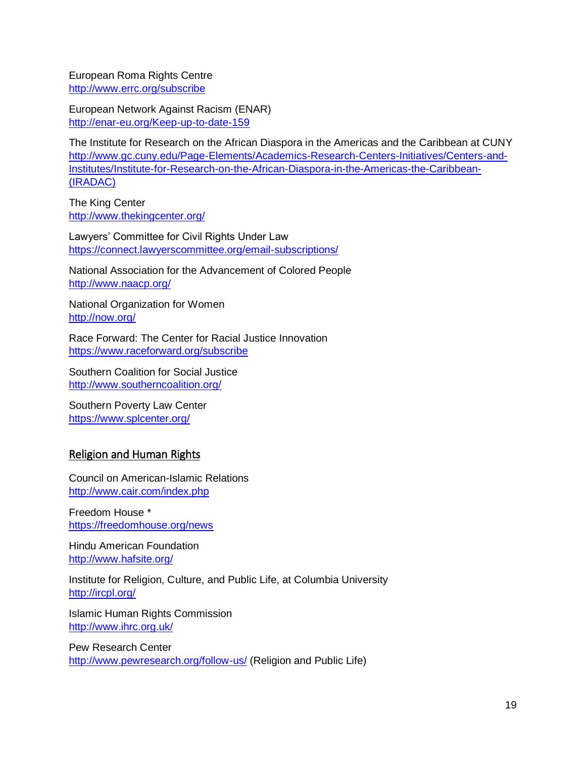European Roma Rights Centre [http://www.errc.org/sub](http://www.errc.org/index)scribe

European Network Against Racism (ENAR) <http://enar-eu.org/Keep-up-to-date-159>

The Institute for Research on the African Diaspora in the Americas and the Caribbean at CUNY [http://www.gc.cuny.edu/Page-Elements/Academics-Research-Centers-Initiatives/Centers-and-](http://www.gc.cuny.edu/Page-Elements/Academics-Research-Centers-Initiatives/Centers-and-Institutes/Institute-for-Research-on-the-African-Diaspora-in-the-Americas-the-Caribbean-(IRADAC))[Institutes/Institute-for-Research-on-the-African-Diaspora-in-the-Americas-the-Caribbean-](http://www.gc.cuny.edu/Page-Elements/Academics-Research-Centers-Initiatives/Centers-and-Institutes/Institute-for-Research-on-the-African-Diaspora-in-the-Americas-the-Caribbean-(IRADAC)) [\(IRADAC\)](http://www.gc.cuny.edu/Page-Elements/Academics-Research-Centers-Initiatives/Centers-and-Institutes/Institute-for-Research-on-the-African-Diaspora-in-the-Americas-the-Caribbean-(IRADAC))

The King Center <http://www.thekingcenter.org/>

Lawyers' Committee for Civil Rights Under Law <https://connect.lawyerscommittee.org/email-subscriptions/>

National Association for the Advancement of Colored People <http://www.naacp.org/>

National Organization for Women <http://now.org/>

Race Forward: The Center for Racial Justice Innovation <https://www.raceforward.org/subscribe>

Southern Coalition for Social Justice <http://www.southerncoalition.org/>

Southern Poverty Law Center <https://www.splcenter.org/>

#### <span id="page-18-0"></span>Religion and Human Rights

Council on American-Islamic Relations <http://www.cair.com/index.php>

Freedom House \* <https://freedomhouse.org/news>

Hindu American Foundation <http://www.hafsite.org/>

Institute for Religion, Culture, and Public Life, at Columbia University <http://ircpl.org/>

Islamic Human Rights Commission <http://www.ihrc.org.uk/>

Pew Research Center <http://www.pewresearch.org/follow-us/> (Religion and Public Life)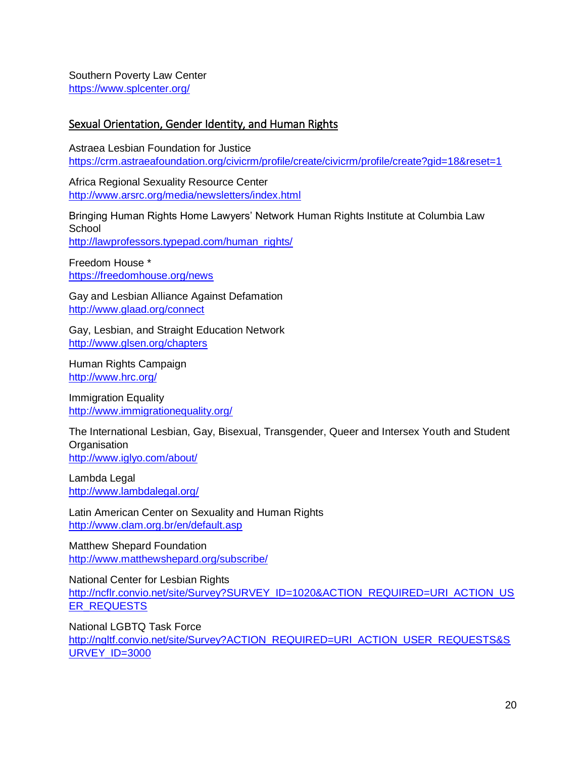#### Southern Poverty Law Center <https://www.splcenter.org/>

## <span id="page-19-0"></span>Sexual Orientation, Gender Identity, and Human Rights

Astraea Lesbian Foundation for Justice <https://crm.astraeafoundation.org/civicrm/profile/create/civicrm/profile/create?gid=18&reset=1>

Africa Regional Sexuality Resource Center <http://www.arsrc.org/media/newsletters/index.html>

Bringing Human Rights Home Lawyers' Network Human Rights Institute at Columbia Law **School** [http://lawprofessors.typepad.com/human\\_rights/](http://lawprofessors.typepad.com/human_rights/)

Freedom House \* <https://freedomhouse.org/news>

Gay and Lesbian Alliance Against Defamation <http://www.glaad.org/connect>

Gay, Lesbian, and Straight Education Network <http://www.glsen.org/chapters>

Human Rights Campaign <http://www.hrc.org/>

Immigration Equality <http://www.immigrationequality.org/>

The International Lesbian, Gay, Bisexual, Transgender, Queer and Intersex Youth and Student **Organisation** <http://www.iglyo.com/about/>

Lambda Legal <http://www.lambdalegal.org/>

Latin American Center on Sexuality and Human Rights <http://www.clam.org.br/en/default.asp>

Matthew Shepard Foundation <http://www.matthewshepard.org/subscribe/>

National Center for Lesbian Rights [http://ncflr.convio.net/site/Survey?SURVEY\\_ID=1020&ACTION\\_REQUIRED=URI\\_ACTION\\_US](http://ncflr.convio.net/site/Survey?SURVEY_ID=1020&ACTION_REQUIRED=URI_ACTION_USER_REQUESTS) [ER\\_REQUESTS](http://ncflr.convio.net/site/Survey?SURVEY_ID=1020&ACTION_REQUIRED=URI_ACTION_USER_REQUESTS)

National LGBTQ Task Force [http://ngltf.convio.net/site/Survey?ACTION\\_REQUIRED=URI\\_ACTION\\_USER\\_REQUESTS&S](http://ngltf.convio.net/site/Survey?ACTION_REQUIRED=URI_ACTION_USER_REQUESTS&SURVEY_ID=3000) [URVEY\\_ID=3000](http://ngltf.convio.net/site/Survey?ACTION_REQUIRED=URI_ACTION_USER_REQUESTS&SURVEY_ID=3000)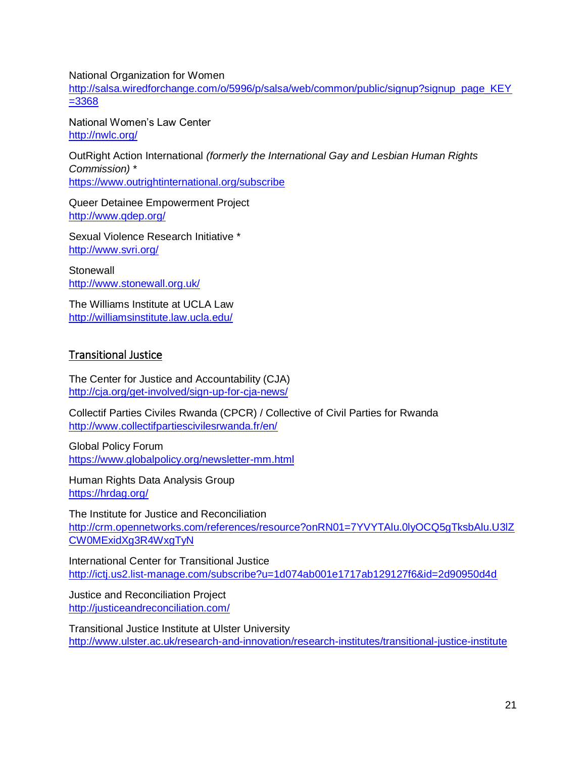National Organization for Women

[http://salsa.wiredforchange.com/o/5996/p/salsa/web/common/public/signup?signup\\_page\\_KEY](http://salsa.wiredforchange.com/o/5996/p/salsa/web/common/public/signup?signup_page_KEY=3368) [=3368](http://salsa.wiredforchange.com/o/5996/p/salsa/web/common/public/signup?signup_page_KEY=3368)

National Women's Law Center <http://nwlc.org/>

OutRight Action International *(formerly the International Gay and Lesbian Human Rights Commission)* \* <https://www.outrightinternational.org/subscribe>

Queer Detainee Empowerment Project <http://www.qdep.org/>

Sexual Violence Research Initiative \* <http://www.svri.org/>

**Stonewall** <http://www.stonewall.org.uk/>

The Williams Institute at UCLA Law <http://williamsinstitute.law.ucla.edu/>

## <span id="page-20-0"></span>Transitional Justice

The Center for Justice and Accountability (CJA) <http://cja.org/get-involved/sign-up-for-cja-news/>

Collectif Parties Civiles Rwanda (CPCR) / Collective of Civil Parties for Rwanda <http://www.collectifpartiescivilesrwanda.fr/en/>

Global Policy Forum <https://www.globalpolicy.org/newsletter-mm.html>

Human Rights Data Analysis Group <https://hrdag.org/>

The Institute for Justice and Reconciliation [http://crm.opennetworks.com/references/resource?onRN01=7YVYTAlu.0lyOCQ5gTksbAlu.U3lZ](http://crm.opennetworks.com/references/resource?onRN01=7YVYTAlu.0lyOCQ5gTksbAlu.U3lZCW0MExidXg3R4WxgTyN) [CW0MExidXg3R4WxgTyN](http://crm.opennetworks.com/references/resource?onRN01=7YVYTAlu.0lyOCQ5gTksbAlu.U3lZCW0MExidXg3R4WxgTyN)

International Center for Transitional Justice <http://ictj.us2.list-manage.com/subscribe?u=1d074ab001e1717ab129127f6&id=2d90950d4d>

Justice and Reconciliation Project <http://justiceandreconciliation.com/>

Transitional Justice Institute at Ulster University <http://www.ulster.ac.uk/research-and-innovation/research-institutes/transitional-justice-institute>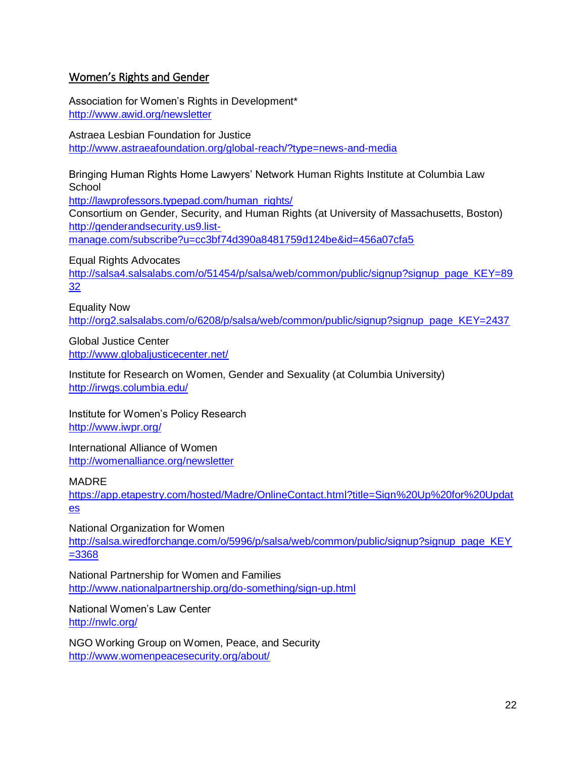#### <span id="page-21-0"></span>Women's Rights and Gender

Association for Women's Rights in Development\* <http://www.awid.org/newsletter>

Astraea Lesbian Foundation for Justice <http://www.astraeafoundation.org/global-reach/?type=news-and-media>

Bringing Human Rights Home Lawyers' Network Human Rights Institute at Columbia Law **School** 

[http://lawprofessors.typepad.com/human\\_rights/](http://lawprofessors.typepad.com/human_rights/)

Consortium on Gender, Security, and Human Rights (at University of Massachusetts, Boston) [http://genderandsecurity.us9.list-](http://genderandsecurity.us9.list-manage.com/subscribe?u=cc3bf74d390a8481759d124be&id=456a07cfa5)

[manage.com/subscribe?u=cc3bf74d390a8481759d124be&id=456a07cfa5](http://genderandsecurity.us9.list-manage.com/subscribe?u=cc3bf74d390a8481759d124be&id=456a07cfa5)

Equal Rights Advocates

[http://salsa4.salsalabs.com/o/51454/p/salsa/web/common/public/signup?signup\\_page\\_KEY=89](http://salsa4.salsalabs.com/o/51454/p/salsa/web/common/public/signup?signup_page_KEY=8932) [32](http://salsa4.salsalabs.com/o/51454/p/salsa/web/common/public/signup?signup_page_KEY=8932)

Equality Now [http://org2.salsalabs.com/o/6208/p/salsa/web/common/public/signup?signup\\_page\\_KEY=2437](http://org2.salsalabs.com/o/6208/p/salsa/web/common/public/signup?signup_page_KEY=2437)

Global Justice Center <http://www.globaljusticecenter.net/>

Institute for Research on Women, Gender and Sexuality (at Columbia University) <http://irwgs.columbia.edu/>

Institute for Women's Policy Research <http://www.iwpr.org/>

International Alliance of Women [http://womenalliance.org/n](http://womenalliance.org/)ewsletter

MADRE

[https://app.etapestry.com/hosted/Madre/OnlineContact.html?title=Sign%20Up%20for%20Updat](https://app.etapestry.com/hosted/Madre/OnlineContact.html?title=Sign%20Up%20for%20Updates) [es](https://app.etapestry.com/hosted/Madre/OnlineContact.html?title=Sign%20Up%20for%20Updates)

National Organization for Women

[http://salsa.wiredforchange.com/o/5996/p/salsa/web/common/public/signup?signup\\_page\\_KEY](http://salsa.wiredforchange.com/o/5996/p/salsa/web/common/public/signup?signup_page_KEY=3368) [=3368](http://salsa.wiredforchange.com/o/5996/p/salsa/web/common/public/signup?signup_page_KEY=3368)

National Partnership for Women and Families <http://www.nationalpartnership.org/do-something/sign-up.html>

National Women's Law Center <http://nwlc.org/>

NGO Working Group on Women, Peace, and Security <http://www.womenpeacesecurity.org/about/>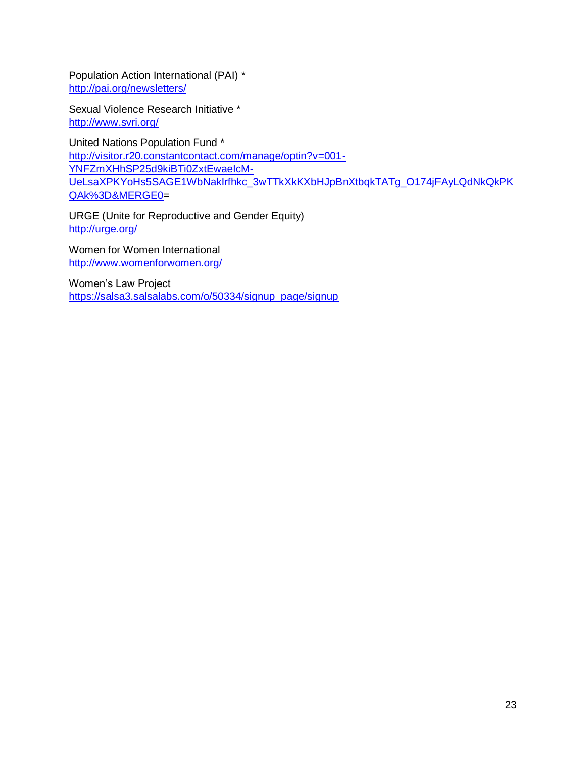Population Action International (PAI) \* <http://pai.org/newsletters/>

Sexual Violence Research Initiative \* <http://www.svri.org/>

United Nations Population Fund \* [http://visitor.r20.constantcontact.com/manage/optin?v=001-](http://visitor.r20.constantcontact.com/manage/optin?v=001-YNFZmXHhSP25d9kiBTi0ZxtEwaeIcM-UeLsaXPKYoHs5SAGE1WbNakIrfhkc_3wTTkXkKXbHJpBnXtbqkTATg_O174jFAyLQdNkQkPKQAk%3D&MERGE0) [YNFZmXHhSP25d9kiBTi0ZxtEwaeIcM-](http://visitor.r20.constantcontact.com/manage/optin?v=001-YNFZmXHhSP25d9kiBTi0ZxtEwaeIcM-UeLsaXPKYoHs5SAGE1WbNakIrfhkc_3wTTkXkKXbHJpBnXtbqkTATg_O174jFAyLQdNkQkPKQAk%3D&MERGE0)[UeLsaXPKYoHs5SAGE1WbNakIrfhkc\\_3wTTkXkKXbHJpBnXtbqkTATg\\_O174jFAyLQdNkQkPK](http://visitor.r20.constantcontact.com/manage/optin?v=001-YNFZmXHhSP25d9kiBTi0ZxtEwaeIcM-UeLsaXPKYoHs5SAGE1WbNakIrfhkc_3wTTkXkKXbHJpBnXtbqkTATg_O174jFAyLQdNkQkPKQAk%3D&MERGE0) [QAk%3D&MERGE0=](http://visitor.r20.constantcontact.com/manage/optin?v=001-YNFZmXHhSP25d9kiBTi0ZxtEwaeIcM-UeLsaXPKYoHs5SAGE1WbNakIrfhkc_3wTTkXkKXbHJpBnXtbqkTATg_O174jFAyLQdNkQkPKQAk%3D&MERGE0)

URGE (Unite for Reproductive and Gender Equity) <http://urge.org/>

Women for Women International <http://www.womenforwomen.org/>

Women's Law Project [https://salsa3.salsalabs.com/o/50334/signup\\_page/signup](https://salsa3.salsalabs.com/o/50334/signup_page/signup)